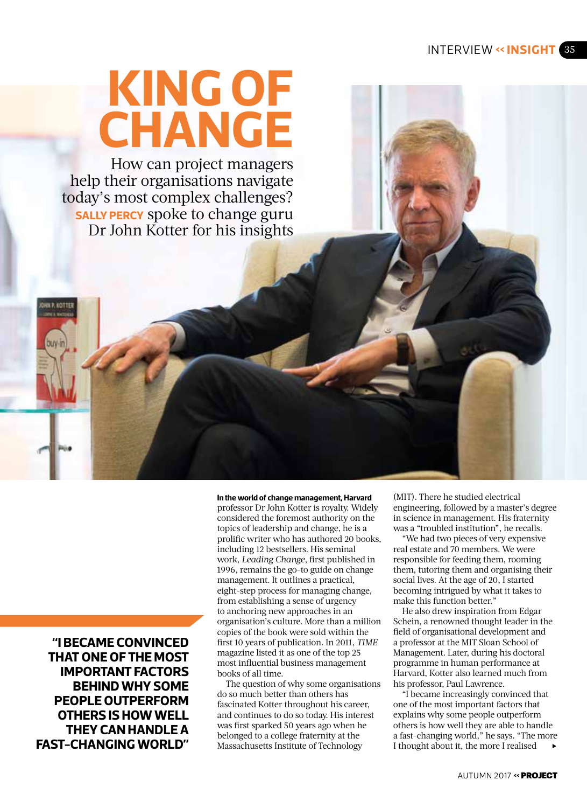# **KING OF CHANGE**

How can project managers help their organisations navigate today's most complex challenges? **SALLY PERCY** spoke to change guru Dr John Kotter for his insights

**"I BECAME CONVINCED THAT ONE OF THE MOST IMPORTANT FACTORS BEHIND WHY SOME PEOPLE OUTPERFORM OTHERS IS HOW WELL THEY CAN HANDLE A FAST-CHANGING WORLD"**

**In the world of change management, Harvard**  professor Dr John Kotter is royalty. Widely considered the foremost authority on the topics of leadership and change, he is a prolific writer who has authored 20 books, including 12 bestsellers. His seminal work, *Leading Change*, first published in 1996, remains the go-to guide on change management. It outlines a practical, eight-step process for managing change, from establishing a sense of urgency to anchoring new approaches in an organisation's culture. More than a million copies of the book were sold within the first 10 years of publication. In 2011, *TIME* magazine listed it as one of the top 25 most influential business management books of all time.

The question of why some organisations do so much better than others has fascinated Kotter throughout his career, and continues to do so today. His interest was first sparked 50 years ago when he belonged to a college fraternity at the Massachusetts Institute of Technology

(MIT). There he studied electrical engineering, followed by a master's degree in science in management. His fraternity was a "troubled institution", he recalls.

"We had two pieces of very expensive real estate and 70 members. We were responsible for feeding them, rooming them, tutoring them and organising their social lives. At the age of 20, I started becoming intrigued by what it takes to make this function better."

He also drew inspiration from Edgar Schein, a renowned thought leader in the field of organisational development and a professor at the MIT Sloan School of Management. Later, during his doctoral programme in human performance at Harvard, Kotter also learned much from his professor, Paul Lawrence.

"I became increasingly convinced that one of the most important factors that explains why some people outperform others is how well they are able to handle a fast-changing world," he says. "The more I thought about it, the more I realised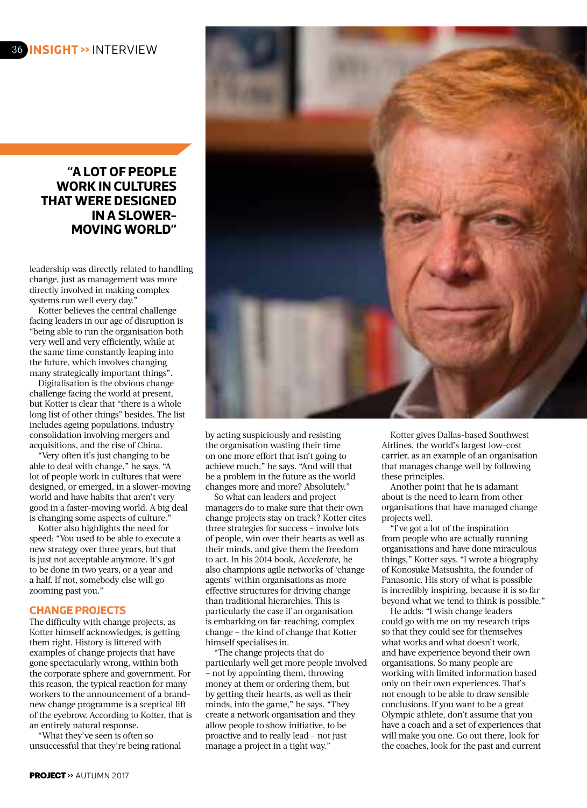## **"A LOT OF PEOPLE WORK IN CULTURES THAT WERE DESIGNED IN A SLOWER-MOVING WORLD"**

leadership was directly related to handling change, just as management was more directly involved in making complex systems run well every day."

Kotter believes the central challenge facing leaders in our age of disruption is "being able to run the organisation both very well and very efficiently, while at the same time constantly leaping into the future, which involves changing many strategically important things".

Digitalisation is the obvious change challenge facing the world at present, but Kotter is clear that "there is a whole long list of other things" besides. The list includes ageing populations, industry consolidation involving mergers and acquisitions, and the rise of China.

"Very often it's just changing to be able to deal with change," he says. "A lot of people work in cultures that were designed, or emerged, in a slower-moving world and have habits that aren't very good in a faster-moving world. A big deal is changing some aspects of culture."

Kotter also highlights the need for speed: "You used to be able to execute a new strategy over three years, but that is just not acceptable anymore. It's got to be done in two years, or a year and a half. If not, somebody else will go zooming past you."

## **CHANGE PROJECTS**

The difficulty with change projects, as Kotter himself acknowledges, is getting them right. History is littered with examples of change projects that have gone spectacularly wrong, within both the corporate sphere and government. For this reason, the typical reaction for many workers to the announcement of a brandnew change programme is a sceptical lift of the eyebrow. According to Kotter, that is an entirely natural response.

"What they've seen is often so unsuccessful that they're being rational



by acting suspiciously and resisting the organisation wasting their time on one more effort that isn't going to achieve much," he says. "And will that be a problem in the future as the world changes more and more? Absolutely."

So what can leaders and project managers do to make sure that their own change projects stay on track? Kotter cites three strategies for success – involve lots of people, win over their hearts as well as their minds, and give them the freedom to act. In his 2014 book, *Accelerate*, he also champions agile networks of 'change agents' within organisations as more effective structures for driving change than traditional hierarchies. This is particularly the case if an organisation is embarking on far-reaching, complex change – the kind of change that Kotter himself specialises in.

"The change projects that do particularly well get more people involved – not by appointing them, throwing money at them or ordering them, but by getting their hearts, as well as their minds, into the game," he says. "They create a network organisation and they allow people to show initiative, to be proactive and to really lead – not just manage a project in a tight way."

Kotter gives Dallas-based Southwest Airlines, the world's largest low-cost carrier, as an example of an organisation that manages change well by following these principles.

Another point that he is adamant about is the need to learn from other organisations that have managed change projects well.

"I've got a lot of the inspiration from people who are actually running organisations and have done miraculous things," Kotter says. "I wrote a biography of Konosuke Matsushita, the founder of Panasonic. His story of what is possible is incredibly inspiring, because it is so far beyond what we tend to think is possible."

He adds: "I wish change leaders could go with me on my research trips so that they could see for themselves what works and what doesn't work, and have experience beyond their own organisations. So many people are working with limited information based only on their own experiences. That's not enough to be able to draw sensible conclusions. If you want to be a great Olympic athlete, don't assume that you have a coach and a set of experiences that will make you one. Go out there, look for the coaches, look for the past and current